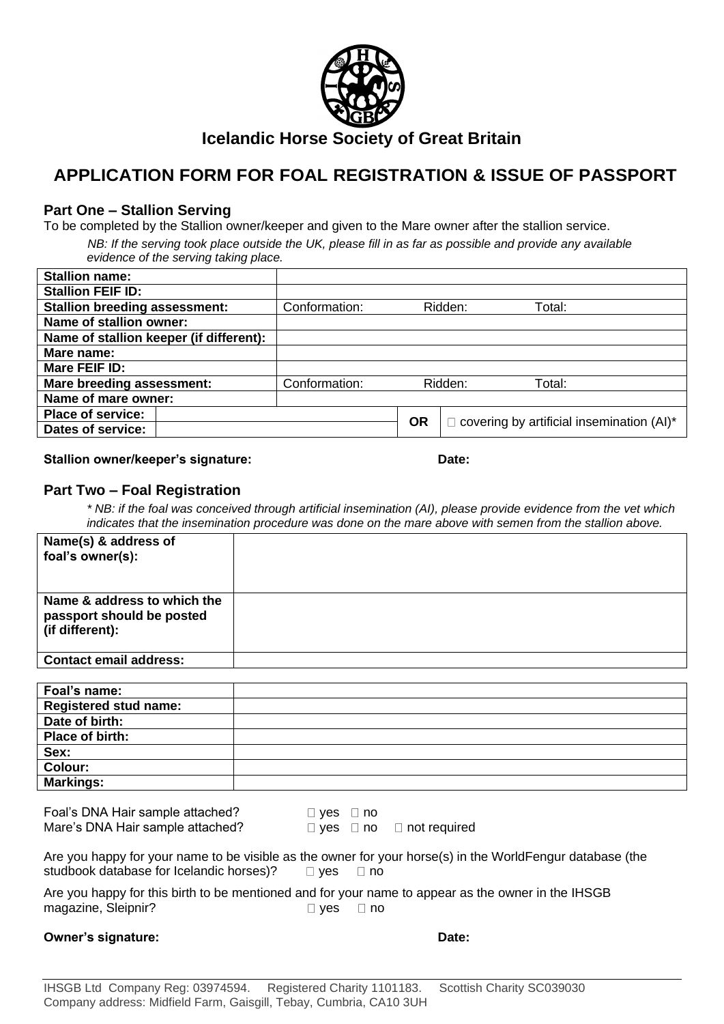

# **Icelandic Horse Society of Great Britain**

# **APPLICATION FORM FOR FOAL REGISTRATION & ISSUE OF PASSPORT**

## **Part One – Stallion Serving**

To be completed by the Stallion owner/keeper and given to the Mare owner after the stallion service.

*NB: If the serving took place outside the UK, please fill in as far as possible and provide any available evidence of the serving taking place.*

| Conformation:            |  |                                           |                                        |
|--------------------------|--|-------------------------------------------|----------------------------------------|
|                          |  |                                           |                                        |
|                          |  |                                           |                                        |
|                          |  |                                           |                                        |
|                          |  |                                           |                                        |
| Conformation:            |  |                                           |                                        |
|                          |  |                                           |                                        |
| <b>Place of service:</b> |  | covering by artificial insemination (AI)* |                                        |
|                          |  |                                           |                                        |
|                          |  | <b>OR</b>                                 | Ridden:<br>Total:<br>Ridden:<br>Total: |

#### **Stallion owner/keeper's signature: Date:**

### **Part Two – Foal Registration**

*\* NB: if the foal was conceived through artificial insemination (AI), please provide evidence from the vet which indicates that the insemination procedure was done on the mare above with semen from the stallion above.*

| Name(s) & address of<br>foal's owner(s):                                                                  |                                          |  |  |  |  |
|-----------------------------------------------------------------------------------------------------------|------------------------------------------|--|--|--|--|
|                                                                                                           |                                          |  |  |  |  |
| Name & address to which the                                                                               |                                          |  |  |  |  |
| passport should be posted                                                                                 |                                          |  |  |  |  |
| (if different):                                                                                           |                                          |  |  |  |  |
| <b>Contact email address:</b>                                                                             |                                          |  |  |  |  |
|                                                                                                           |                                          |  |  |  |  |
| Foal's name:                                                                                              |                                          |  |  |  |  |
| <b>Registered stud name:</b>                                                                              |                                          |  |  |  |  |
| Date of birth:                                                                                            |                                          |  |  |  |  |
| Place of birth:                                                                                           |                                          |  |  |  |  |
| Sex:                                                                                                      |                                          |  |  |  |  |
| Colour:                                                                                                   |                                          |  |  |  |  |
| <b>Markings:</b>                                                                                          |                                          |  |  |  |  |
|                                                                                                           |                                          |  |  |  |  |
| Foal's DNA Hair sample attached?                                                                          | $\Box$ yes $\Box$ no                     |  |  |  |  |
| Mare's DNA Hair sample attached?                                                                          | $\Box$ yes $\Box$ no $\Box$ not required |  |  |  |  |
|                                                                                                           |                                          |  |  |  |  |
| Are you happy for your name to be visible as the owner for your horse(s) in the WorldFengur database (the |                                          |  |  |  |  |
| studbook database for Icelandic horses)?<br>$\Box$ yes<br>$\Box$ no                                       |                                          |  |  |  |  |

Are you happy for this birth to be mentioned and for your name to appear as the owner in the IHSGB magazine, Sleipnir? yes □ yes □ no

#### **Owner's signature: Date: Date: Date: Date:**